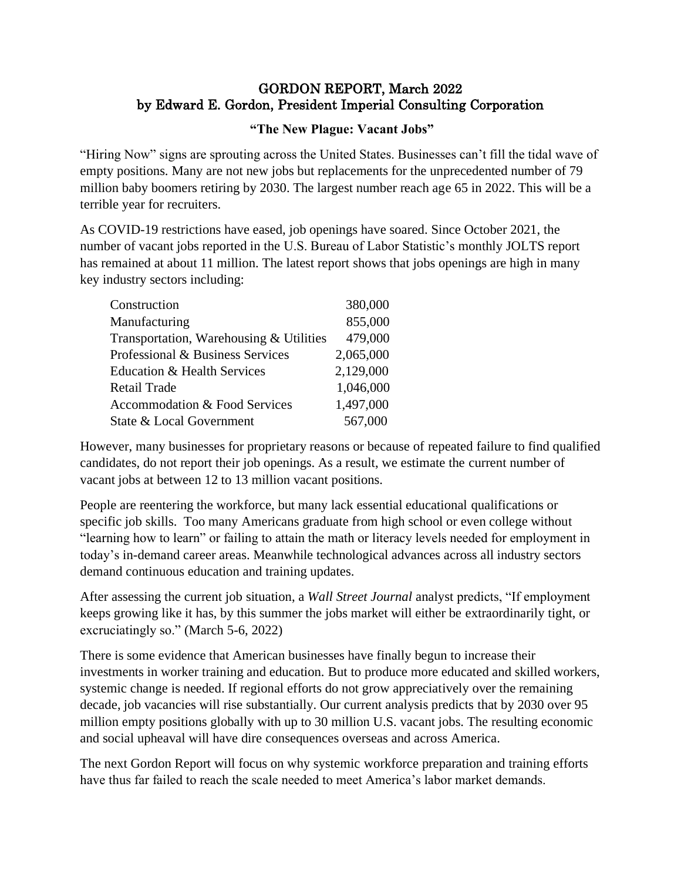## GORDON REPORT, March 2022 by Edward E. Gordon, President Imperial Consulting Corporation

## **"The New Plague: Vacant Jobs"**

"Hiring Now" signs are sprouting across the United States. Businesses can't fill the tidal wave of empty positions. Many are not new jobs but replacements for the unprecedented number of 79 million baby boomers retiring by 2030. The largest number reach age 65 in 2022. This will be a terrible year for recruiters.

As COVID-19 restrictions have eased, job openings have soared. Since October 2021, the number of vacant jobs reported in the U.S. Bureau of Labor Statistic's monthly JOLTS report has remained at about 11 million. The latest report shows that jobs openings are high in many key industry sectors including:

| Construction                            | 380,000   |
|-----------------------------------------|-----------|
| Manufacturing                           | 855,000   |
| Transportation, Warehousing & Utilities | 479,000   |
| Professional & Business Services        | 2,065,000 |
| Education & Health Services             | 2,129,000 |
| <b>Retail Trade</b>                     | 1,046,000 |
| Accommodation & Food Services           | 1,497,000 |
| State & Local Government                | 567,000   |

However, many businesses for proprietary reasons or because of repeated failure to find qualified candidates, do not report their job openings. As a result, we estimate the current number of vacant jobs at between 12 to 13 million vacant positions.

People are reentering the workforce, but many lack essential educational qualifications or specific job skills. Too many Americans graduate from high school or even college without "learning how to learn" or failing to attain the math or literacy levels needed for employment in today's in-demand career areas. Meanwhile technological advances across all industry sectors demand continuous education and training updates.

After assessing the current job situation, a *Wall Street Journal* analyst predicts, "If employment keeps growing like it has, by this summer the jobs market will either be extraordinarily tight, or excruciatingly so." (March 5-6, 2022)

There is some evidence that American businesses have finally begun to increase their investments in worker training and education. But to produce more educated and skilled workers, systemic change is needed. If regional efforts do not grow appreciatively over the remaining decade, job vacancies will rise substantially. Our current analysis predicts that by 2030 over 95 million empty positions globally with up to 30 million U.S. vacant jobs. The resulting economic and social upheaval will have dire consequences overseas and across America.

The next Gordon Report will focus on why systemic workforce preparation and training efforts have thus far failed to reach the scale needed to meet America's labor market demands.